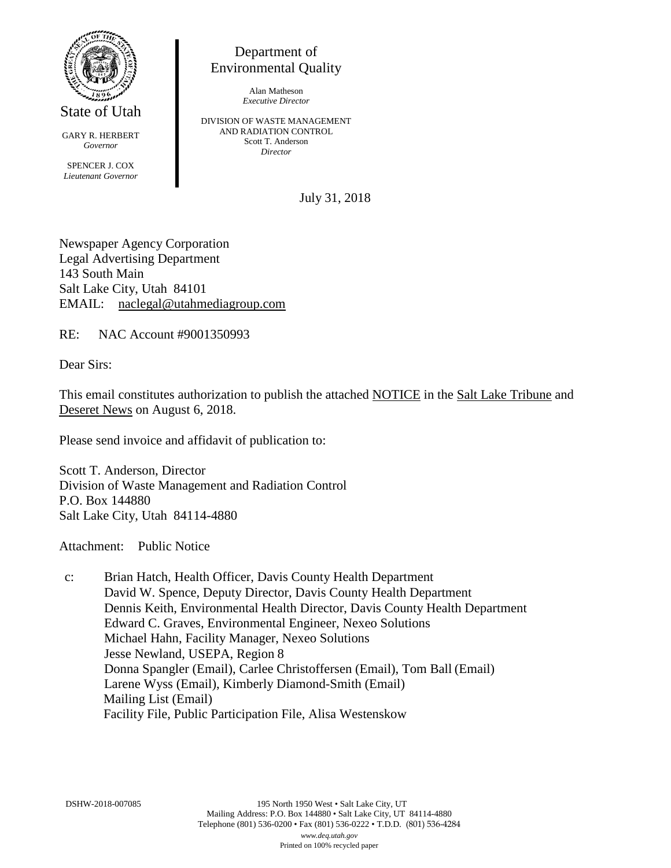

State of Utah

GARY R. HERBERT *Governor* SPENCER J. COX *Lieutenant Governor*

Department of Environmental Quality

> Alan Matheson *Executive Director*

DIVISION OF WASTE MANAGEMENT AND RADIATION CONTROL Scott T. Anderson *Director*

July 31, 2018

Newspaper Agency Corporation Legal Advertising Department 143 South Main Salt Lake City, Utah 84101 EMAIL: naclegal@utahmediagroup.com

RE: NAC Account #9001350993

Dear Sirs:

This email constitutes authorization to publish the attached NOTICE in the Salt Lake Tribune and Deseret News on August 6, 2018.

Please send invoice and affidavit of publication to:

Scott T. Anderson, Director Division of Waste Management and Radiation Control P.O. Box 144880 Salt Lake City, Utah 84114-4880

Attachment: Public Notice

c: Brian Hatch, Health Officer, Davis County Health Department David W. Spence, Deputy Director, Davis County Health Department Dennis Keith, Environmental Health Director, Davis County Health Department Edward C. Graves, Environmental Engineer, Nexeo Solutions Michael Hahn, Facility Manager, Nexeo Solutions Jesse Newland, USEPA, Region 8 Donna Spangler (Email), Carlee Christoffersen (Email), Tom Ball (Email) Larene Wyss (Email), Kimberly Diamond-Smith (Email) Mailing List (Email) Facility File, Public Participation File, Alisa Westenskow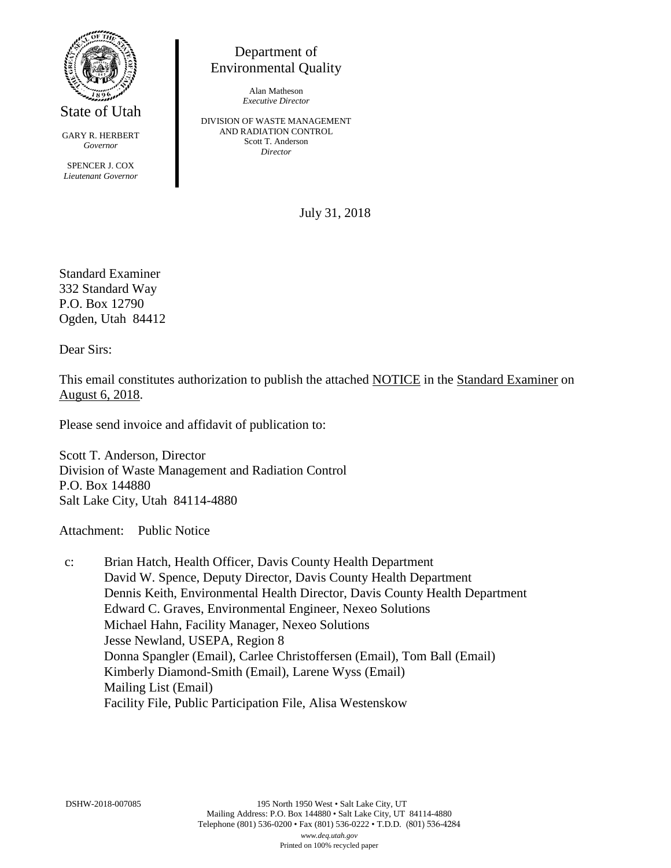

State of Utah

GARY R. HERBERT *Governor* SPENCER J. COX *Lieutenant Governor*

Environmental Quality

Alan Matheson *Executive Director*

Department of

DIVISION OF WASTE MANAGEMENT AND RADIATION CONTROL Scott T. Anderson *Director*

July 31, 2018

Standard Examiner 332 Standard Way P.O. Box 12790 Ogden, Utah 84412

Dear Sirs:

This email constitutes authorization to publish the attached NOTICE in the Standard Examiner on August 6, 2018.

Please send invoice and affidavit of publication to:

Scott T. Anderson, Director Division of Waste Management and Radiation Control P.O. Box 144880 Salt Lake City, Utah 84114-4880

Attachment: Public Notice

c: Brian Hatch, Health Officer, Davis County Health Department David W. Spence, Deputy Director, Davis County Health Department Dennis Keith, Environmental Health Director, Davis County Health Department Edward C. Graves, Environmental Engineer, Nexeo Solutions Michael Hahn, Facility Manager, Nexeo Solutions Jesse Newland, USEPA, Region 8 Donna Spangler (Email), Carlee Christoffersen (Email), Tom Ball (Email) Kimberly Diamond-Smith (Email), Larene Wyss (Email) Mailing List (Email) Facility File, Public Participation File, Alisa Westenskow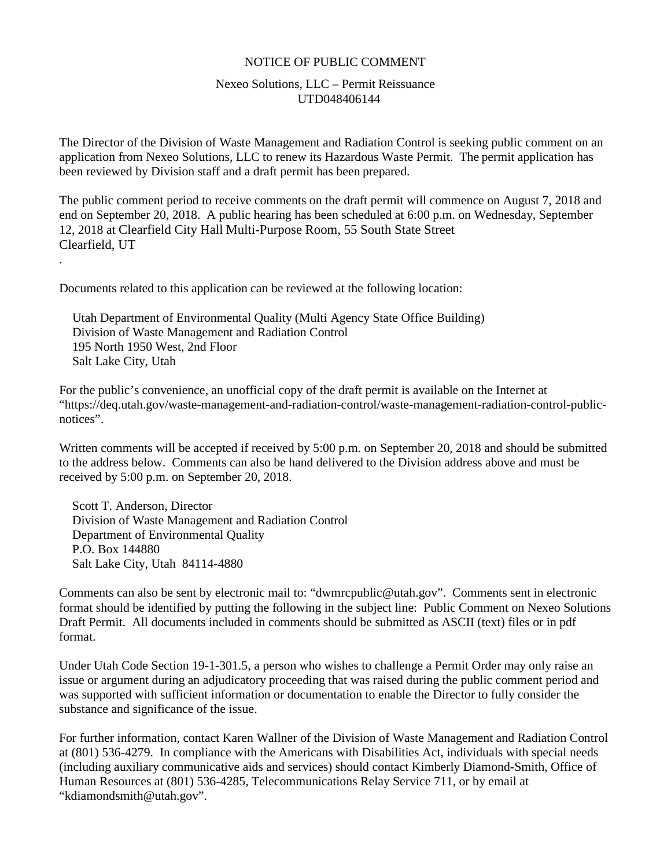#### NOTICE OF PUBLIC COMMENT

#### Nexeo Solutions, LLC – Permit Reissuance UTD048406144

The Director of the Division of Waste Management and Radiation Control is seeking public comment on an application from Nexeo Solutions, LLC to renew its Hazardous Waste Permit. The permit application has been reviewed by Division staff and a draft permit has been prepared.

The public comment period to receive comments on the draft permit will commence on August 7, 2018 and end on September 20, 2018. A public hearing has been scheduled at 6:00 p.m. on Wednesday, September 12, 2018 at Clearfield City Hall Multi-Purpose Room, 55 South State Street Clearfield, UT

Documents related to this application can be reviewed at the following location:

Utah Department of Environmental Quality (Multi Agency State Office Building) Division of Waste Management and Radiation Control 195 North 1950 West, 2nd Floor Salt Lake City, Utah

For the public's convenience, an unofficial copy of the draft permit is available on the Internet at "https://deq.utah.gov/waste-management-and-radiation-control/waste-management-radiation-control-publicnotices".

Written comments will be accepted if received by 5:00 p.m. on September 20, 2018 and should be submitted to the address below. Comments can also be hand delivered to the Division address above and must be received by 5:00 p.m. on September 20, 2018.

Scott T. Anderson, Director Division of Waste Management and Radiation Control Department of Environmental Quality P.O. Box 144880 Salt Lake City, Utah 84114-4880

.

Comments can also be sent by electronic mail to: "dwmrcpublic@utah.gov". Comments sent in electronic format should be identified by putting the following in the subject line: Public Comment on Nexeo Solutions Draft Permit. All documents included in comments should be submitted as ASCII (text) files or in pdf format.

Under Utah Code Section 19-1-301.5, a person who wishes to challenge a Permit Order may only raise an issue or argument during an adjudicatory proceeding that was raised during the public comment period and was supported with sufficient information or documentation to enable the Director to fully consider the substance and significance of the issue.

For further information, contact Karen Wallner of the Division of Waste Management and Radiation Control at (801) 536-4279. In compliance with the Americans with Disabilities Act, individuals with special needs (including auxiliary communicative aids and services) should contact Kimberly Diamond-Smith, Office of Human Resources at (801) 536-4285, Telecommunications Relay Service 711, or by email at "kdiamondsmith@utah.gov".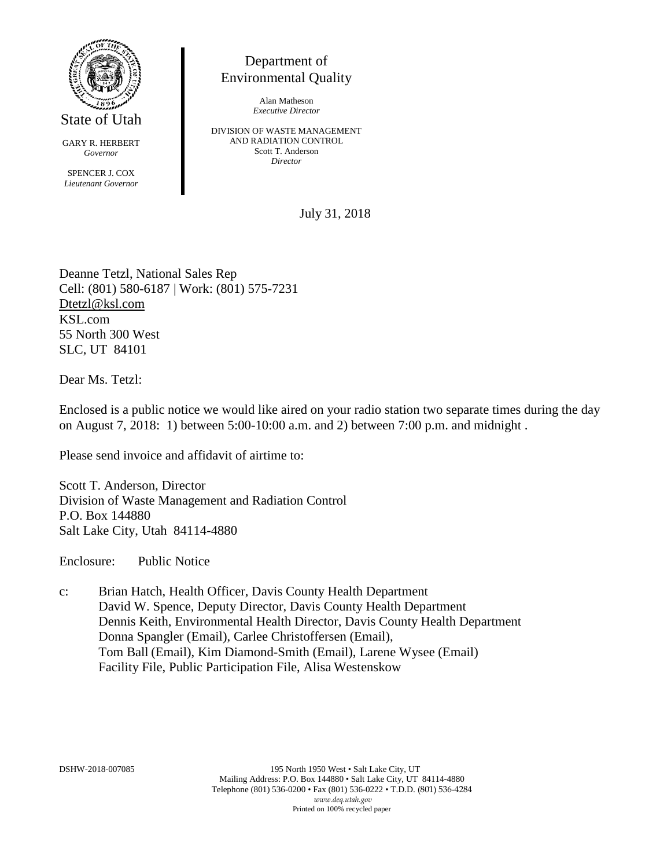

GARY R. HERBERT *Governor*

SPENCER J. COX *Lieutenant Governor*

## Department of Environmental Quality

Alan Matheson *Executive Director*

DIVISION OF WASTE MANAGEMENT AND RADIATION CONTROL Scott T. Anderson *Director*

July 31, 2018

Deanne Tetzl, National Sales Rep Cell: (801) 580-6187 | Work: (801) 575-7231 Dtetzl@ksl.com KSL.com 55 North 300 West SLC, UT 84101

Dear Ms. Tetzl:

Enclosed is a public notice we would like aired on your radio station two separate times during the day on August 7, 2018: 1) between 5:00-10:00 a.m. and 2) between 7:00 p.m. and midnight .

Please send invoice and affidavit of airtime to:

Scott T. Anderson, Director Division of Waste Management and Radiation Control P.O. Box 144880 Salt Lake City, Utah 84114-4880

Enclosure: Public Notice

c: Brian Hatch, Health Officer, Davis County Health Department David W. Spence, Deputy Director, Davis County Health Department Dennis Keith, Environmental Health Director, Davis County Health Department Donna Spangler (Email), Carlee Christoffersen (Email), Tom Ball (Email), Kim Diamond-Smith (Email), Larene Wysee (Email) Facility File, Public Participation File, Alisa Westenskow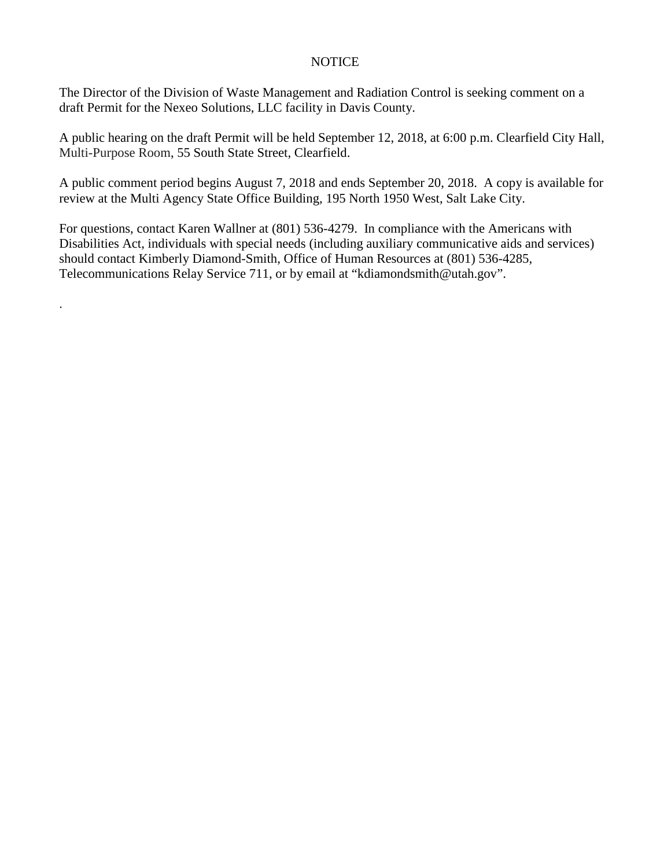#### **NOTICE**

The Director of the Division of Waste Management and Radiation Control is seeking comment on a draft Permit for the Nexeo Solutions, LLC facility in Davis County.

A public hearing on the draft Permit will be held September 12, 2018, at 6:00 p.m. Clearfield City Hall, Multi-Purpose Room, 55 South State Street, Clearfield.

A public comment period begins August 7, 2018 and ends September 20, 2018. A copy is available for review at the Multi Agency State Office Building, 195 North 1950 West, Salt Lake City.

For questions, contact Karen Wallner at (801) 536-4279. In compliance with the Americans with Disabilities Act, individuals with special needs (including auxiliary communicative aids and services) should contact Kimberly Diamond-Smith, Office of Human Resources at (801) 536-4285, Telecommunications Relay Service 711, or by email at "kdiamondsmith@utah.gov".

.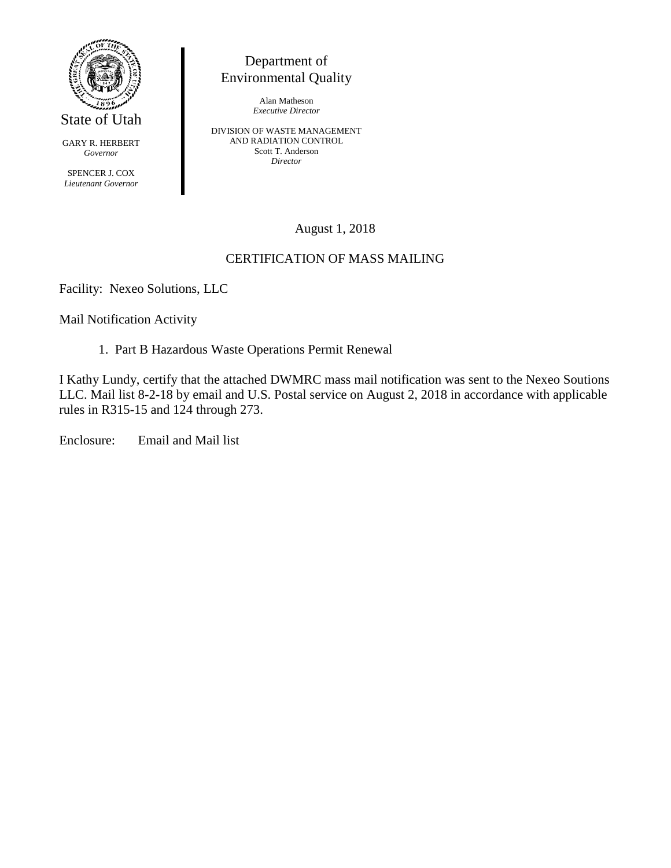

GARY R. HERBERT *Governor*

SPENCER J. COX *Lieutenant Governor*

## Department of Environmental Quality

Alan Matheson *Executive Director*

DIVISION OF WASTE MANAGEMENT AND RADIATION CONTROL Scott T. Anderson *Director*

## August 1, 2018

## CERTIFICATION OF MASS MAILING

Facility: Nexeo Solutions, LLC

Mail Notification Activity

1. Part B Hazardous Waste Operations Permit Renewal

I Kathy Lundy, certify that the attached DWMRC mass mail notification was sent to the Nexeo Soutions LLC. Mail list 8-2-18 by email and U.S. Postal service on August 2, 2018 in accordance with applicable rules in R315-15 and 124 through 273.

Enclosure: Email and Mail list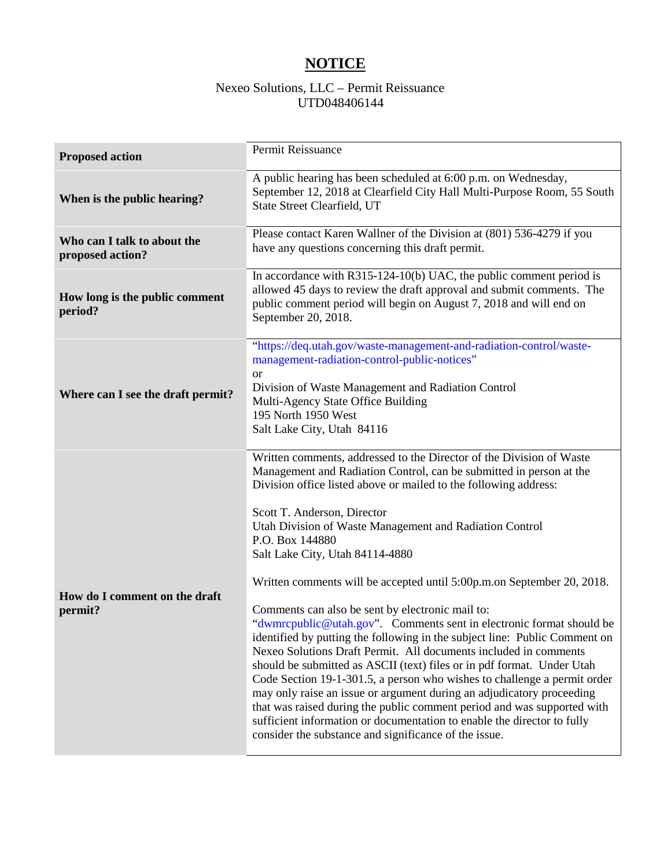## **NOTICE**

## Nexeo Solutions, LLC – Permit Reissuance UTD048406144

| <b>Proposed action</b>                          | Permit Reissuance                                                                                                                                                                                                                                                                                                                                                                                                                                                                                                                                                                                                                                                                                                                                                                                                                                                                                                                                                                                                                                                                                                                                                     |
|-------------------------------------------------|-----------------------------------------------------------------------------------------------------------------------------------------------------------------------------------------------------------------------------------------------------------------------------------------------------------------------------------------------------------------------------------------------------------------------------------------------------------------------------------------------------------------------------------------------------------------------------------------------------------------------------------------------------------------------------------------------------------------------------------------------------------------------------------------------------------------------------------------------------------------------------------------------------------------------------------------------------------------------------------------------------------------------------------------------------------------------------------------------------------------------------------------------------------------------|
| When is the public hearing?                     | A public hearing has been scheduled at 6:00 p.m. on Wednesday,<br>September 12, 2018 at Clearfield City Hall Multi-Purpose Room, 55 South<br><b>State Street Clearfield, UT</b>                                                                                                                                                                                                                                                                                                                                                                                                                                                                                                                                                                                                                                                                                                                                                                                                                                                                                                                                                                                       |
| Who can I talk to about the<br>proposed action? | Please contact Karen Wallner of the Division at (801) 536-4279 if you<br>have any questions concerning this draft permit.                                                                                                                                                                                                                                                                                                                                                                                                                                                                                                                                                                                                                                                                                                                                                                                                                                                                                                                                                                                                                                             |
| How long is the public comment<br>period?       | In accordance with R315-124-10(b) UAC, the public comment period is<br>allowed 45 days to review the draft approval and submit comments. The<br>public comment period will begin on August 7, 2018 and will end on<br>September 20, 2018.                                                                                                                                                                                                                                                                                                                                                                                                                                                                                                                                                                                                                                                                                                                                                                                                                                                                                                                             |
| Where can I see the draft permit?               | "https://deq.utah.gov/waste-management-and-radiation-control/waste-<br>management-radiation-control-public-notices"<br><b>or</b><br>Division of Waste Management and Radiation Control<br>Multi-Agency State Office Building<br>195 North 1950 West<br>Salt Lake City, Utah 84116                                                                                                                                                                                                                                                                                                                                                                                                                                                                                                                                                                                                                                                                                                                                                                                                                                                                                     |
| How do I comment on the draft<br>permit?        | Written comments, addressed to the Director of the Division of Waste<br>Management and Radiation Control, can be submitted in person at the<br>Division office listed above or mailed to the following address:<br>Scott T. Anderson, Director<br>Utah Division of Waste Management and Radiation Control<br>P.O. Box 144880<br>Salt Lake City, Utah 84114-4880<br>Written comments will be accepted until 5:00p.m.on September 20, 2018.<br>Comments can also be sent by electronic mail to:<br>"dwmrcpublic@utah.gov". Comments sent in electronic format should be<br>identified by putting the following in the subject line: Public Comment on<br>Nexeo Solutions Draft Permit. All documents included in comments<br>should be submitted as ASCII (text) files or in pdf format. Under Utah<br>Code Section 19-1-301.5, a person who wishes to challenge a permit order<br>may only raise an issue or argument during an adjudicatory proceeding<br>that was raised during the public comment period and was supported with<br>sufficient information or documentation to enable the director to fully<br>consider the substance and significance of the issue. |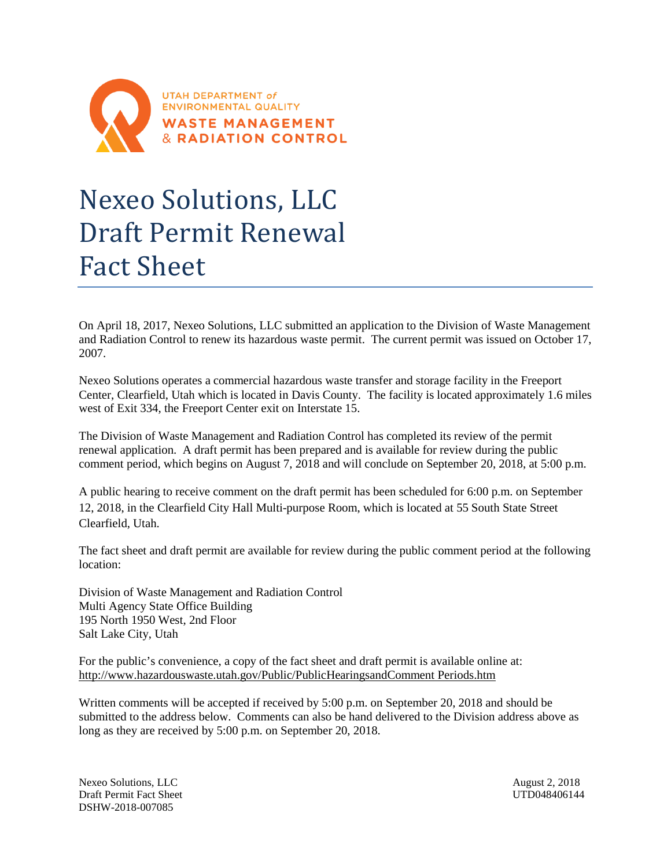

# Nexeo Solutions, LLC Draft Permit Renewal Fact Sheet

On April 18, 2017, Nexeo Solutions, LLC submitted an application to the Division of Waste Management and Radiation Control to renew its hazardous waste permit. The current permit was issued on October 17, 2007.

Nexeo Solutions operates a commercial hazardous waste transfer and storage facility in the Freeport Center, Clearfield, Utah which is located in Davis County. The facility is located approximately 1.6 miles west of Exit 334, the Freeport Center exit on Interstate 15.

The Division of Waste Management and Radiation Control has completed its review of the permit renewal application. A draft permit has been prepared and is available for review during the public comment period, which begins on August 7, 2018 and will conclude on September 20, 2018, at 5:00 p.m.

A public hearing to receive comment on the draft permit has been scheduled for 6:00 p.m. on September 12, 2018, in the Clearfield City Hall Multi-purpose Room, which is located at 55 South State Street Clearfield, Utah.

The fact sheet and draft permit are available for review during the public comment period at the following location:

Division of Waste Management and Radiation Control Multi Agency State Office Building 195 North 1950 West, 2nd Floor Salt Lake City, Utah

For the public's convenience, a copy of the fact sheet and draft permit is available online at: http://www.hazardouswaste.utah.gov/Public/PublicHearingsandComment Periods.htm

Written comments will be accepted if received by 5:00 p.m. on September 20, 2018 and should be submitted to the address below. Comments can also be hand delivered to the Division address above as long as they are received by 5:00 p.m. on September 20, 2018.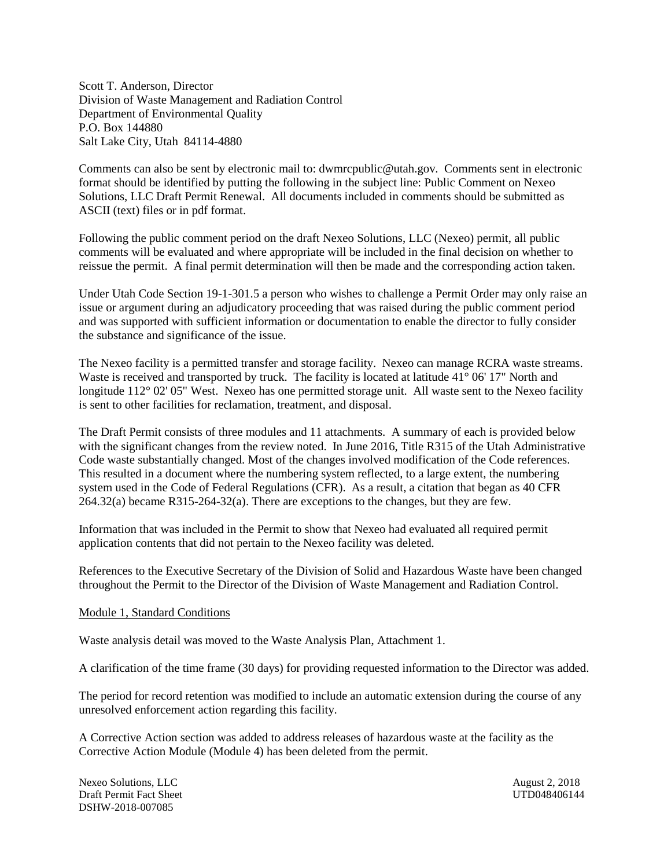Scott T. Anderson, Director Division of Waste Management and Radiation Control Department of Environmental Quality P.O. Box 144880 Salt Lake City, Utah 84114-4880

Comments can also be sent by electronic mail to: dwmrcpublic@utah.gov. Comments sent in electronic format should be identified by putting the following in the subject line: Public Comment on Nexeo Solutions, LLC Draft Permit Renewal. All documents included in comments should be submitted as ASCII (text) files or in pdf format.

Following the public comment period on the draft Nexeo Solutions, LLC (Nexeo) permit, all public comments will be evaluated and where appropriate will be included in the final decision on whether to reissue the permit. A final permit determination will then be made and the corresponding action taken.

Under Utah Code Section 19-1-301.5 a person who wishes to challenge a Permit Order may only raise an issue or argument during an adjudicatory proceeding that was raised during the public comment period and was supported with sufficient information or documentation to enable the director to fully consider the substance and significance of the issue.

The Nexeo facility is a permitted transfer and storage facility. Nexeo can manage RCRA waste streams. Waste is received and transported by truck. The facility is located at latitude 41° 06' 17" North and longitude 112° 02' 05" West. Nexeo has one permitted storage unit. All waste sent to the Nexeo facility is sent to other facilities for reclamation, treatment, and disposal.

The Draft Permit consists of three modules and 11 attachments. A summary of each is provided below with the significant changes from the review noted. In June 2016, Title R315 of the Utah Administrative Code waste substantially changed. Most of the changes involved modification of the Code references. This resulted in a document where the numbering system reflected, to a large extent, the numbering system used in the Code of Federal Regulations (CFR). As a result, a citation that began as 40 CFR 264.32(a) became R315-264-32(a). There are exceptions to the changes, but they are few.

Information that was included in the Permit to show that Nexeo had evaluated all required permit application contents that did not pertain to the Nexeo facility was deleted.

References to the Executive Secretary of the Division of Solid and Hazardous Waste have been changed throughout the Permit to the Director of the Division of Waste Management and Radiation Control.

#### Module 1, Standard Conditions

Waste analysis detail was moved to the Waste Analysis Plan, Attachment 1.

A clarification of the time frame (30 days) for providing requested information to the Director was added.

The period for record retention was modified to include an automatic extension during the course of any unresolved enforcement action regarding this facility.

A Corrective Action section was added to address releases of hazardous waste at the facility as the Corrective Action Module (Module 4) has been deleted from the permit.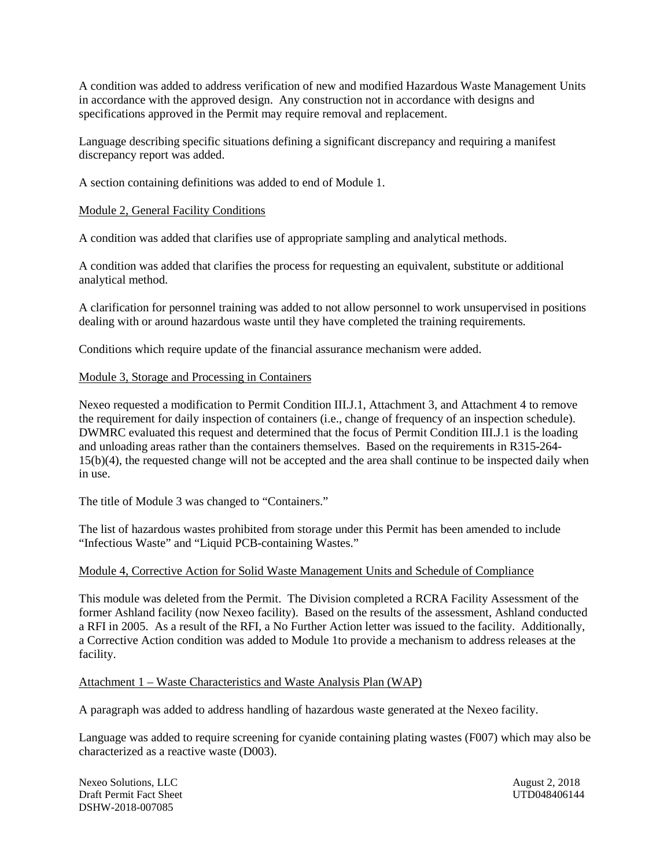A condition was added to address verification of new and modified Hazardous Waste Management Units in accordance with the approved design. Any construction not in accordance with designs and specifications approved in the Permit may require removal and replacement.

Language describing specific situations defining a significant discrepancy and requiring a manifest discrepancy report was added.

A section containing definitions was added to end of Module 1.

#### Module 2, General Facility Conditions

A condition was added that clarifies use of appropriate sampling and analytical methods.

A condition was added that clarifies the process for requesting an equivalent, substitute or additional analytical method.

A clarification for personnel training was added to not allow personnel to work unsupervised in positions dealing with or around hazardous waste until they have completed the training requirements.

Conditions which require update of the financial assurance mechanism were added.

#### Module 3, Storage and Processing in Containers

Nexeo requested a modification to Permit Condition III.J.1, Attachment 3, and Attachment 4 to remove the requirement for daily inspection of containers (i.e., change of frequency of an inspection schedule). DWMRC evaluated this request and determined that the focus of Permit Condition III.J.1 is the loading and unloading areas rather than the containers themselves. Based on the requirements in R315-264- 15(b)(4), the requested change will not be accepted and the area shall continue to be inspected daily when in use.

The title of Module 3 was changed to "Containers."

The list of hazardous wastes prohibited from storage under this Permit has been amended to include "Infectious Waste" and "Liquid PCB-containing Wastes."

#### Module 4, Corrective Action for Solid Waste Management Units and Schedule of Compliance

This module was deleted from the Permit. The Division completed a RCRA Facility Assessment of the former Ashland facility (now Nexeo facility). Based on the results of the assessment, Ashland conducted a RFI in 2005. As a result of the RFI, a No Further Action letter was issued to the facility. Additionally, a Corrective Action condition was added to Module 1to provide a mechanism to address releases at the facility.

#### Attachment 1 – Waste Characteristics and Waste Analysis Plan (WAP)

A paragraph was added to address handling of hazardous waste generated at the Nexeo facility.

Language was added to require screening for cyanide containing plating wastes (F007) which may also be characterized as a reactive waste (D003).

Nexeo Solutions, LLC<br>
Draft Permit Fact Sheet<br>
UTD048406144<br>
UTD048406144 Draft Permit Fact Sheet DSHW-2018-007085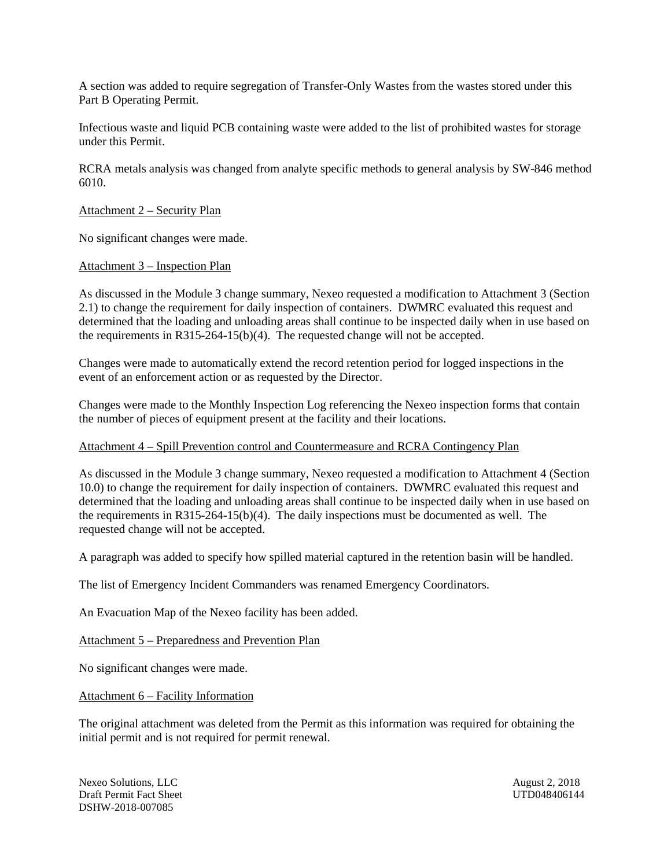A section was added to require segregation of Transfer-Only Wastes from the wastes stored under this Part B Operating Permit.

Infectious waste and liquid PCB containing waste were added to the list of prohibited wastes for storage under this Permit.

RCRA metals analysis was changed from analyte specific methods to general analysis by SW-846 method 6010.

#### Attachment 2 – Security Plan

No significant changes were made.

#### Attachment 3 – Inspection Plan

As discussed in the Module 3 change summary, Nexeo requested a modification to Attachment 3 (Section 2.1) to change the requirement for daily inspection of containers. DWMRC evaluated this request and determined that the loading and unloading areas shall continue to be inspected daily when in use based on the requirements in R315-264-15(b)(4). The requested change will not be accepted.

Changes were made to automatically extend the record retention period for logged inspections in the event of an enforcement action or as requested by the Director.

Changes were made to the Monthly Inspection Log referencing the Nexeo inspection forms that contain the number of pieces of equipment present at the facility and their locations.

#### Attachment 4 – Spill Prevention control and Countermeasure and RCRA Contingency Plan

As discussed in the Module 3 change summary, Nexeo requested a modification to Attachment 4 (Section 10.0) to change the requirement for daily inspection of containers. DWMRC evaluated this request and determined that the loading and unloading areas shall continue to be inspected daily when in use based on the requirements in R315-264-15(b)(4). The daily inspections must be documented as well. The requested change will not be accepted.

A paragraph was added to specify how spilled material captured in the retention basin will be handled.

The list of Emergency Incident Commanders was renamed Emergency Coordinators.

An Evacuation Map of the Nexeo facility has been added.

Attachment 5 – Preparedness and Prevention Plan

No significant changes were made.

Attachment 6 – Facility Information

The original attachment was deleted from the Permit as this information was required for obtaining the initial permit and is not required for permit renewal.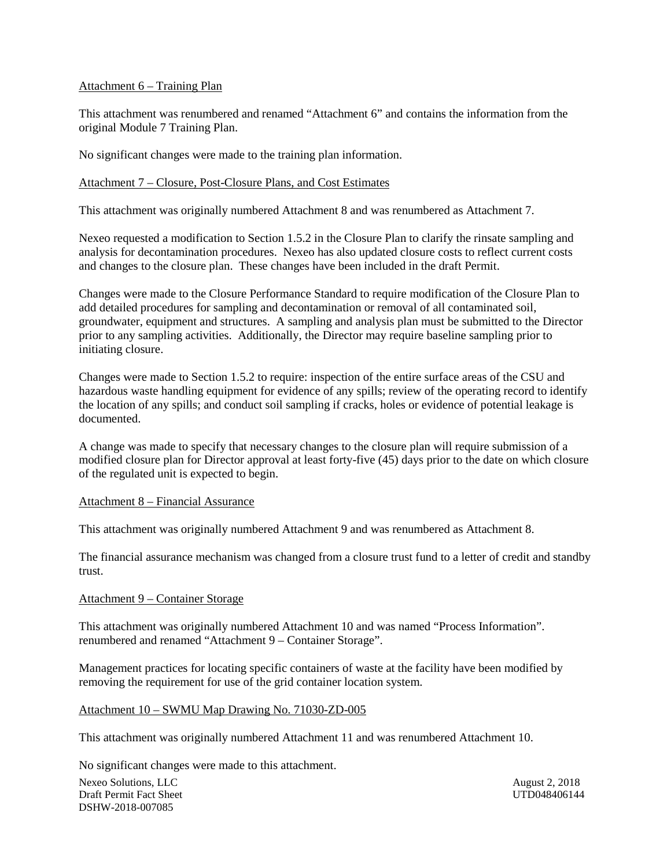#### Attachment 6 – Training Plan

This attachment was renumbered and renamed "Attachment 6" and contains the information from the original Module 7 Training Plan.

No significant changes were made to the training plan information.

#### Attachment 7 – Closure, Post-Closure Plans, and Cost Estimates

This attachment was originally numbered Attachment 8 and was renumbered as Attachment 7.

Nexeo requested a modification to Section 1.5.2 in the Closure Plan to clarify the rinsate sampling and analysis for decontamination procedures. Nexeo has also updated closure costs to reflect current costs and changes to the closure plan. These changes have been included in the draft Permit.

Changes were made to the Closure Performance Standard to require modification of the Closure Plan to add detailed procedures for sampling and decontamination or removal of all contaminated soil, groundwater, equipment and structures. A sampling and analysis plan must be submitted to the Director prior to any sampling activities. Additionally, the Director may require baseline sampling prior to initiating closure.

Changes were made to Section 1.5.2 to require: inspection of the entire surface areas of the CSU and hazardous waste handling equipment for evidence of any spills; review of the operating record to identify the location of any spills; and conduct soil sampling if cracks, holes or evidence of potential leakage is documented.

A change was made to specify that necessary changes to the closure plan will require submission of a modified closure plan for Director approval at least forty-five (45) days prior to the date on which closure of the regulated unit is expected to begin.

#### Attachment 8 – Financial Assurance

This attachment was originally numbered Attachment 9 and was renumbered as Attachment 8.

The financial assurance mechanism was changed from a closure trust fund to a letter of credit and standby trust.

#### Attachment 9 – Container Storage

This attachment was originally numbered Attachment 10 and was named "Process Information". renumbered and renamed "Attachment 9 – Container Storage".

Management practices for locating specific containers of waste at the facility have been modified by removing the requirement for use of the grid container location system.

#### Attachment 10 – SWMU Map Drawing No. 71030-ZD-005

This attachment was originally numbered Attachment 11 and was renumbered Attachment 10.

No significant changes were made to this attachment.

Nexeo Solutions, LLC<br>
Draft Permit Fact Sheet<br>
UTD048406144<br>
UTD048406144 Draft Permit Fact Sheet DSHW-2018-007085